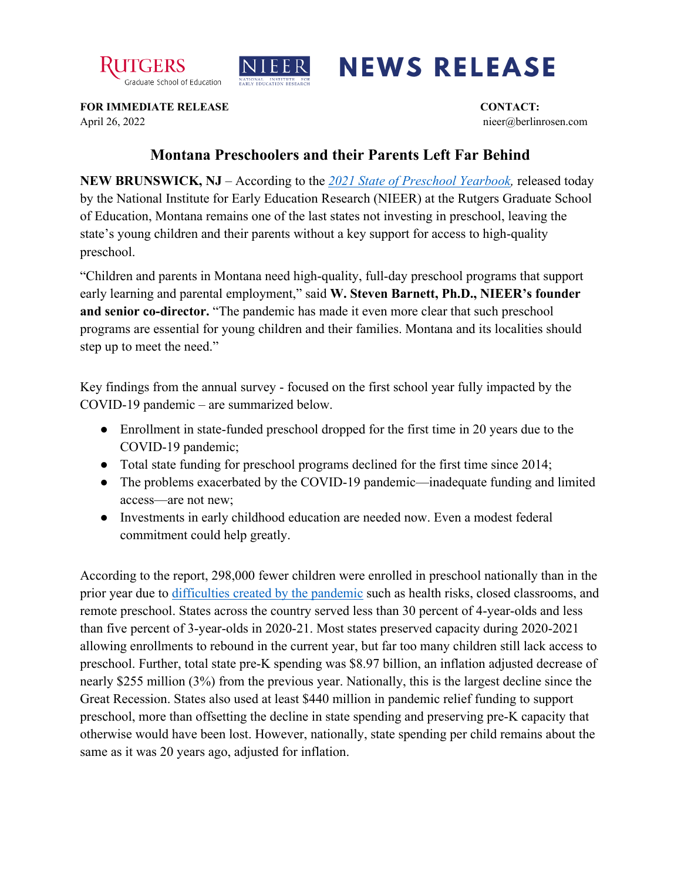



## **NEWS RELEASE**

**FOR IMMEDIATE RELEASE CONTACT:** April 26, 2022 nieer@berlinrosen.com

## **Montana Preschoolers and their Parents Left Far Behind**

**NEW BRUNSWICK, NJ** – According to the *[2021 State of Preschool Yearbook,](https://nieer.org/state-preschool-yearbooks-yearbook2021)* released today by the National Institute for Early Education Research (NIEER) at the Rutgers Graduate School of Education, Montana remains one of the last states not investing in preschool, leaving the state's young children and their parents without a key support for access to high-quality preschool.

"Children and parents in Montana need high-quality, full-day preschool programs that support early learning and parental employment," said **W. Steven Barnett, Ph.D., NIEER's founder and senior co-director.** "The pandemic has made it even more clear that such preschool programs are essential for young children and their families. Montana and its localities should step up to meet the need."

Key findings from the annual survey - focused on the first school year fully impacted by the COVID-19 pandemic – are summarized below.

- Enrollment in state-funded preschool dropped for the first time in 20 years due to the COVID-19 pandemic;
- Total state funding for preschool programs declined for the first time since 2014;
- The problems exacerbated by the COVID-19 pandemic—inadequate funding and limited access—are not new;
- Investments in early childhood education are needed now. Even a modest federal commitment could help greatly.

According to the report, 298,000 fewer children were enrolled in preschool nationally than in the prior year due to [difficulties created by the pandemic](https://nieer.org/wp-content/uploads/2021/02/NIEER_Seven_Impacts_of_the_Pandemic_on_Young_Children_and_their_Parents.pdf) such as health risks, closed classrooms, and remote preschool. States across the country served less than 30 percent of 4-year-olds and less than five percent of 3-year-olds in 2020-21. Most states preserved capacity during 2020-2021 allowing enrollments to rebound in the current year, but far too many children still lack access to preschool. Further, total state pre-K spending was \$8.97 billion, an inflation adjusted decrease of nearly \$255 million (3%) from the previous year. Nationally, this is the largest decline since the Great Recession. States also used at least \$440 million in pandemic relief funding to support preschool, more than offsetting the decline in state spending and preserving pre-K capacity that otherwise would have been lost. However, nationally, state spending per child remains about the same as it was 20 years ago, adjusted for inflation.